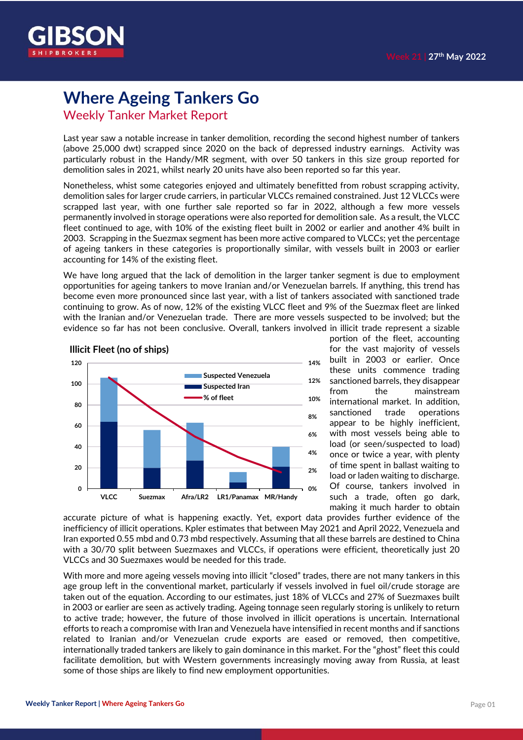

## **Where Ageing Tankers Go**

Weekly Tanker Market Report

Last year saw a notable increase in tanker demolition, recording the second highest number of tankers (above 25,000 dwt) scrapped since 2020 on the back of depressed industry earnings. Activity was particularly robust in the Handy/MR segment, with over 50 tankers in this size group reported for demolition sales in 2021, whilst nearly 20 units have also been reported so far this year.

Nonetheless, whist some categories enjoyed and ultimately benefitted from robust scrapping activity, demolition sales for larger crude carriers, in particular VLCCs remained constrained. Just 12 VLCCs were scrapped last year, with one further sale reported so far in 2022, although a few more vessels permanently involved in storage operations were also reported for demolition sale. As a result, the VLCC fleet continued to age, with 10% of the existing fleet built in 2002 or earlier and another 4% built in 2003. Scrapping in the Suezmax segment has been more active compared to VLCCs; yet the percentage of ageing tankers in these categories is proportionally similar, with vessels built in 2003 or earlier accounting for 14% of the existing fleet.

We have long argued that the lack of demolition in the larger tanker segment is due to employment opportunities for ageing tankers to move Iranian and/or Venezuelan barrels. If anything, this trend has become even more pronounced since last year, with a list of tankers associated with sanctioned trade continuing to grow. As of now, 12% of the existing VLCC fleet and 9% of the Suezmax fleet are linked with the Iranian and/or Venezuelan trade. There are more vessels suspected to be involved; but the evidence so far has not been conclusive. Overall, tankers involved in illicit trade represent a sizable



portion of the fleet, accounting for the vast majority of vessels built in 2003 or earlier. Once these units commence trading sanctioned barrels, they disappear from the mainstream international market. In addition, sanctioned trade operations appear to be highly inefficient, with most vessels being able to load (or seen/suspected to load) once or twice a year, with plenty of time spent in ballast waiting to load or laden waiting to discharge. Of course, tankers involved in such a trade, often go dark, making it much harder to obtain

accurate picture of what is happening exactly. Yet, export data provides further evidence of the inefficiency of illicit operations. Kpler estimates that between May 2021 and April 2022, Venezuela and Iran exported 0.55 mbd and 0.73 mbd respectively. Assuming that all these barrels are destined to China with a 30/70 split between Suezmaxes and VLCCs, if operations were efficient, theoretically just 20 VLCCs and 30 Suezmaxes would be needed for this trade.

With more and more ageing vessels moving into illicit "closed" trades, there are not many tankers in this age group left in the conventional market, particularly if vessels involved in fuel oil/crude storage are taken out of the equation. According to our estimates, just 18% of VLCCs and 27% of Suezmaxes built in 2003 or earlier are seen as actively trading. Ageing tonnage seen regularly storing is unlikely to return to active trade; however, the future of those involved in illicit operations is uncertain. International efforts to reach a compromise with Iran and Venezuela have intensified in recent months and if sanctions related to Iranian and/or Venezuelan crude exports are eased or removed, then competitive, internationally traded tankers are likely to gain dominance in this market. For the "ghost" fleet this could facilitate demolition, but with Western governments increasingly moving away from Russia, at least some of those ships are likely to find new employment opportunities.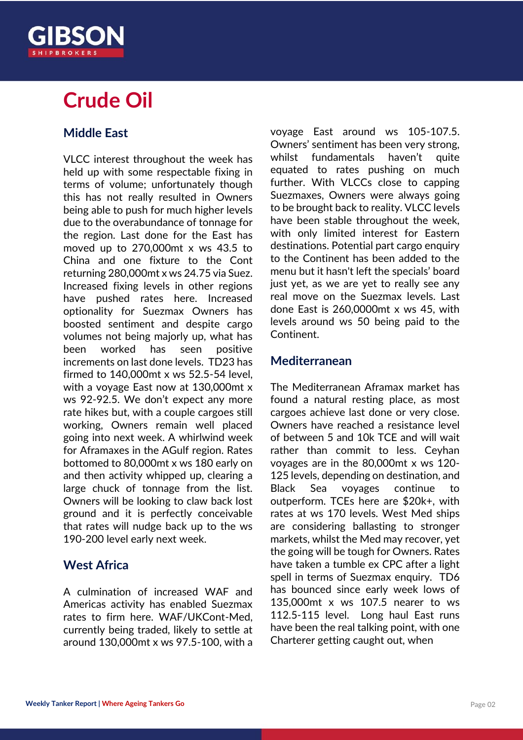

## **Crude Oil**

### **Middle East**

VLCC interest throughout the week has held up with some respectable fixing in terms of volume; unfortunately though this has not really resulted in Owners being able to push for much higher levels due to the overabundance of tonnage for the region. Last done for the East has moved up to 270,000mt x ws 43.5 to China and one fixture to the Cont returning 280,000mt x ws 24.75 via Suez. Increased fixing levels in other regions have pushed rates here. Increased optionality for Suezmax Owners has boosted sentiment and despite cargo volumes not being majorly up, what has been worked has seen positive increments on last done levels. TD23 has firmed to 140,000mt x ws 52.5-54 level, with a voyage East now at 130,000mt x ws 92-92.5. We don't expect any more rate hikes but, with a couple cargoes still working, Owners remain well placed going into next week. A whirlwind week for Aframaxes in the AGulf region. Rates bottomed to 80,000mt x ws 180 early on and then activity whipped up, clearing a large chuck of tonnage from the list. Owners will be looking to claw back lost ground and it is perfectly conceivable that rates will nudge back up to the ws 190-200 level early next week.

#### **West Africa**

A culmination of increased WAF and Americas activity has enabled Suezmax rates to firm here. WAF/UKCont-Med, currently being traded, likely to settle at around 130,000mt x ws 97.5-100, with a voyage East around ws 105-107.5. Owners' sentiment has been very strong, whilst fundamentals haven't quite equated to rates pushing on much further. With VLCCs close to capping Suezmaxes, Owners were always going to be brought back to reality. VLCC levels have been stable throughout the week, with only limited interest for Eastern destinations. Potential part cargo enquiry to the Continent has been added to the menu but it hasn't left the specials' board just yet, as we are yet to really see any real move on the Suezmax levels. Last done East is 260,0000mt x ws 45, with levels around ws 50 being paid to the Continent.

#### **Mediterranean**

The Mediterranean Aframax market has found a natural resting place, as most cargoes achieve last done or very close. Owners have reached a resistance level of between 5 and 10k TCE and will wait rather than commit to less. Ceyhan voyages are in the 80,000mt x ws 120- 125 levels, depending on destination, and Black Sea voyages continue to outperform. TCEs here are \$20k+, with rates at ws 170 levels. West Med ships are considering ballasting to stronger markets, whilst the Med may recover, yet the going will be tough for Owners. Rates have taken a tumble ex CPC after a light spell in terms of Suezmax enquiry. TD6 has bounced since early week lows of 135,000mt x ws 107.5 nearer to ws 112.5-115 level. Long haul East runs have been the real talking point, with one Charterer getting caught out, when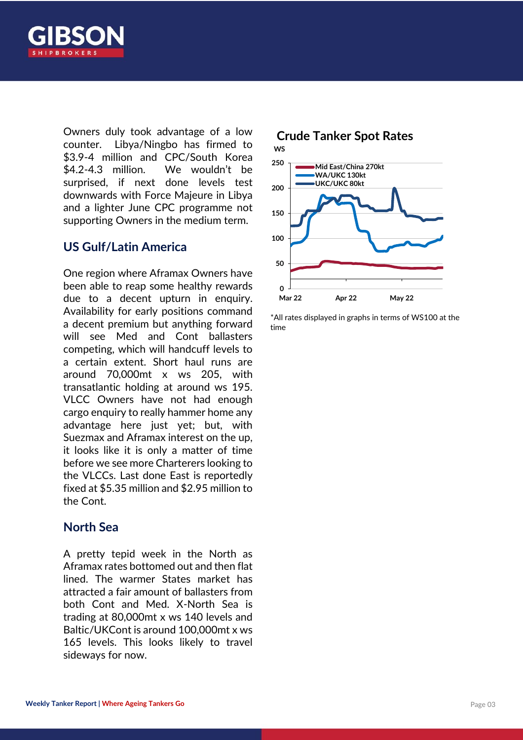

Owners duly took advantage of a low counter. Libya/Ningbo has firmed to \$3.9-4 million and CPC/South Korea \$4.2-4.3 million. We wouldn't be surprised, if next done levels test downwards with Force Majeure in Libya and a lighter June CPC programme not supporting Owners in the medium term.

#### **US Gulf/Latin America**

One region where Aframax Owners have been able to reap some healthy rewards due to a decent upturn in enquiry. Availability for early positions command a decent premium but anything forward will see Med and Cont ballasters competing, which will handcuff levels to a certain extent. Short haul runs are around 70,000mt x ws 205, with transatlantic holding at around ws 195. VLCC Owners have not had enough cargo enquiry to really hammer home any advantage here just yet; but, with Suezmax and Aframax interest on the up, it looks like it is only a matter of time before we see more Charterers looking to the VLCCs. Last done East is reportedly fixed at \$5.35 million and \$2.95 million to the Cont.

#### **North Sea**

A pretty tepid week in the North as Aframax rates bottomed out and then flat lined. The warmer States market has attracted a fair amount of ballasters from both Cont and Med. X-North Sea is trading at 80,000mt x ws 140 levels and Baltic/UKCont is around 100,000mt x ws 165 levels. This looks likely to travel sideways for now.



\*All rates displayed in graphs in terms of WS100 at the time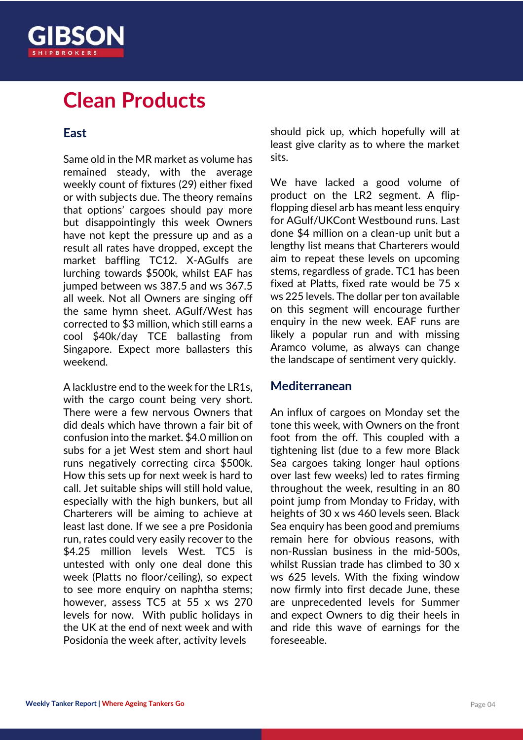

## **Clean Products**

#### **East**

Same old in the MR market as volume has remained steady, with the average weekly count of fixtures (29) either fixed or with subjects due. The theory remains that options' cargoes should pay more but disappointingly this week Owners have not kept the pressure up and as a result all rates have dropped, except the market baffling TC12. X-AGulfs are lurching towards \$500k, whilst EAF has jumped between ws 387.5 and ws 367.5 all week. Not all Owners are singing off the same hymn sheet. AGulf/West has corrected to \$3 million, which still earns a cool \$40k/day TCE ballasting from Singapore. Expect more ballasters this weekend.

A lacklustre end to the week for the LR1s, with the cargo count being very short. There were a few nervous Owners that did deals which have thrown a fair bit of confusion into the market. \$4.0 million on subs for a jet West stem and short haul runs negatively correcting circa \$500k. How this sets up for next week is hard to call. Jet suitable ships will still hold value, especially with the high bunkers, but all Charterers will be aiming to achieve at least last done. If we see a pre Posidonia run, rates could very easily recover to the \$4.25 million levels West. TC5 is untested with only one deal done this week (Platts no floor/ceiling), so expect to see more enquiry on naphtha stems; however, assess TC5 at 55 x ws 270 levels for now. With public holidays in the UK at the end of next week and with Posidonia the week after, activity levels

should pick up, which hopefully will at least give clarity as to where the market sits.

We have lacked a good volume of product on the LR2 segment. A flipflopping diesel arb has meant less enquiry for AGulf/UKCont Westbound runs. Last done \$4 million on a clean-up unit but a lengthy list means that Charterers would aim to repeat these levels on upcoming stems, regardless of grade. TC1 has been fixed at Platts, fixed rate would be 75 x ws 225 levels. The dollar per ton available on this segment will encourage further enquiry in the new week. EAF runs are likely a popular run and with missing Aramco volume, as always can change the landscape of sentiment very quickly.

#### **Mediterranean**

An influx of cargoes on Monday set the tone this week, with Owners on the front foot from the off. This coupled with a tightening list (due to a few more Black Sea cargoes taking longer haul options over last few weeks) led to rates firming throughout the week, resulting in an 80 point jump from Monday to Friday, with heights of 30 x ws 460 levels seen. Black Sea enquiry has been good and premiums remain here for obvious reasons, with non-Russian business in the mid-500s, whilst Russian trade has climbed to 30 x ws 625 levels. With the fixing window now firmly into first decade June, these are unprecedented levels for Summer and expect Owners to dig their heels in and ride this wave of earnings for the foreseeable.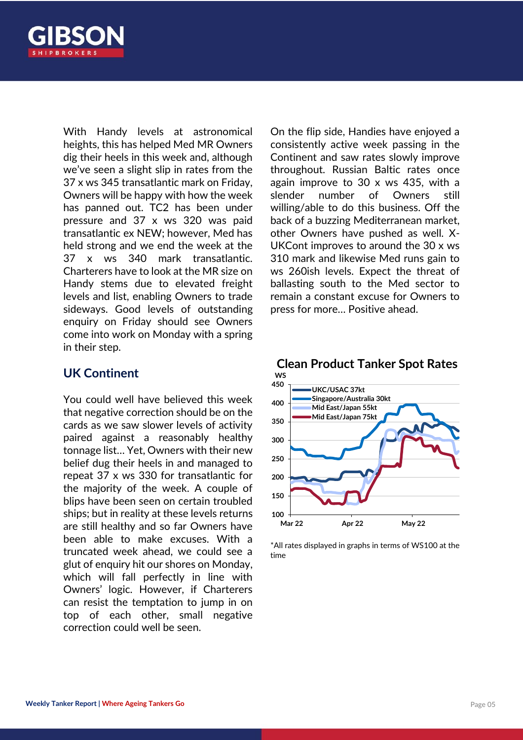

With Handy levels at astronomical heights, this has helped Med MR Owners dig their heels in this week and, although we've seen a slight slip in rates from the 37 x ws 345 transatlantic mark on Friday, Owners will be happy with how the week has panned out. TC2 has been under pressure and 37 x ws 320 was paid transatlantic ex NEW; however, Med has held strong and we end the week at the 37 x ws 340 mark transatlantic. Charterers have to look at the MR size on Handy stems due to elevated freight levels and list, enabling Owners to trade sideways. Good levels of outstanding enquiry on Friday should see Owners come into work on Monday with a spring in their step.

#### **UK Continent**

You could well have believed this week that negative correction should be on the cards as we saw slower levels of activity paired against a reasonably healthy tonnage list… Yet, Owners with their new belief dug their heels in and managed to repeat 37 x ws 330 for transatlantic for the majority of the week. A couple of blips have been seen on certain troubled ships; but in reality at these levels returns are still healthy and so far Owners have been able to make excuses. With a truncated week ahead, we could see a glut of enquiry hit our shores on Monday, which will fall perfectly in line with Owners' logic. However, if Charterers can resist the temptation to jump in on top of each other, small negative correction could well be seen.

On the flip side, Handies have enjoyed a consistently active week passing in the Continent and saw rates slowly improve throughout. Russian Baltic rates once again improve to 30 x ws 435, with a slender number of Owners still willing/able to do this business. Off the back of a buzzing Mediterranean market, other Owners have pushed as well. X-UKCont improves to around the 30 x ws 310 mark and likewise Med runs gain to ws 260ish levels. Expect the threat of ballasting south to the Med sector to remain a constant excuse for Owners to press for more… Positive ahead.



## **Clean Product Tanker Spot Rates**

\*All rates displayed in graphs in terms of WS100 at the time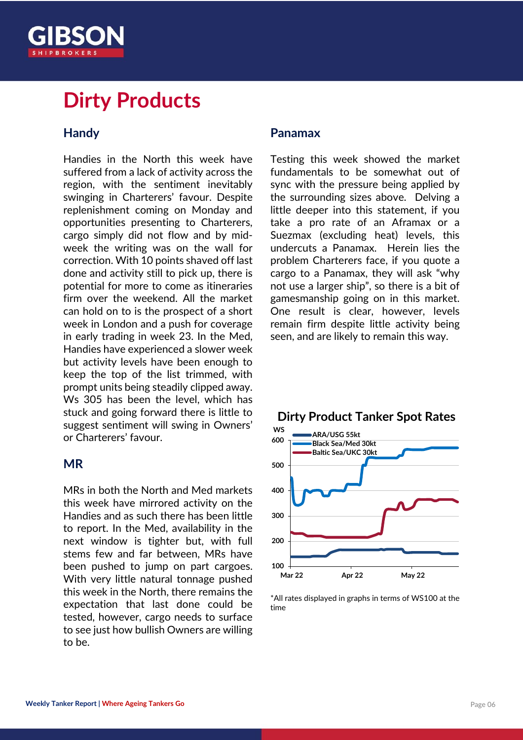

## **Dirty Products**

#### **Handy**

Handies in the North this week have suffered from a lack of activity across the region, with the sentiment inevitably swinging in Charterers' favour. Despite replenishment coming on Monday and opportunities presenting to Charterers, cargo simply did not flow and by midweek the writing was on the wall for correction. With 10 points shaved off last done and activity still to pick up, there is potential for more to come as itineraries firm over the weekend. All the market can hold on to is the prospect of a short week in London and a push for coverage in early trading in week 23. In the Med, Handies have experienced a slower week but activity levels have been enough to keep the top of the list trimmed, with prompt units being steadily clipped away. Ws 305 has been the level, which has stuck and going forward there is little to suggest sentiment will swing in Owners' or Charterers' favour.

#### **MR**

MRs in both the North and Med markets this week have mirrored activity on the Handies and as such there has been little to report. In the Med, availability in the next window is tighter but, with full stems few and far between, MRs have been pushed to jump on part cargoes. With very little natural tonnage pushed this week in the North, there remains the expectation that last done could be tested, however, cargo needs to surface to see just how bullish Owners are willing to be.

#### **Panamax**

Testing this week showed the market fundamentals to be somewhat out of sync with the pressure being applied by the surrounding sizes above. Delving a little deeper into this statement, if you take a pro rate of an Aframax or a Suezmax (excluding heat) levels, this undercuts a Panamax. Herein lies the problem Charterers face, if you quote a cargo to a Panamax, they will ask "why not use a larger ship", so there is a bit of gamesmanship going on in this market. One result is clear, however, levels remain firm despite little activity being seen, and are likely to remain this way.



#### **Dirty Product Tanker Spot Rates**

\*All rates displayed in graphs in terms of WS100 at the time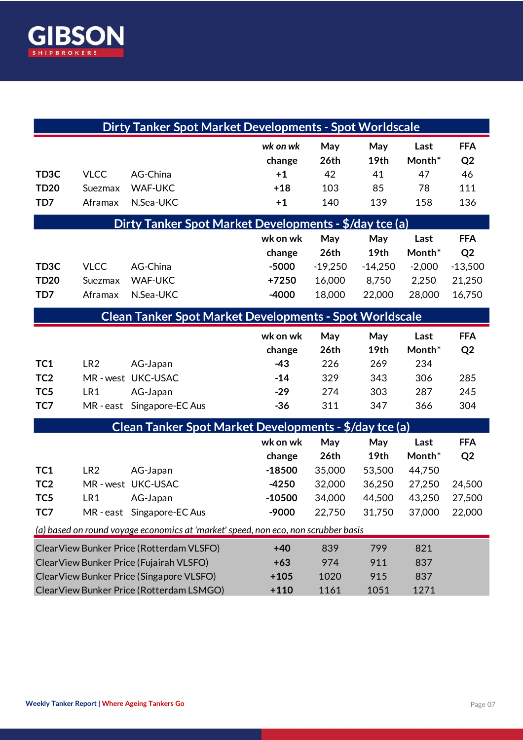

| <b>Dirty Tanker Spot Market Developments - Spot Worldscale</b>                                                                                                              |                                     |                                                                        |                                                     |                                              |                                             |                                               |                                                               |
|-----------------------------------------------------------------------------------------------------------------------------------------------------------------------------|-------------------------------------|------------------------------------------------------------------------|-----------------------------------------------------|----------------------------------------------|---------------------------------------------|-----------------------------------------------|---------------------------------------------------------------|
| TD <sub>3</sub> C<br><b>TD20</b>                                                                                                                                            | <b>VLCC</b><br>Suezmax              | AG-China<br><b>WAF-UKC</b>                                             | wk on wk<br>change<br>$+1$<br>$+18$                 | May<br>26th<br>42<br>103                     | May<br>19th<br>41<br>85                     | Last<br>Month*<br>47<br>78                    | <b>FFA</b><br>Q <sub>2</sub><br>46<br>111                     |
| TD7                                                                                                                                                                         | Aframax                             | N.Sea-UKC                                                              | $+1$                                                | 140                                          | 139                                         | 158                                           | 136                                                           |
| Dirty Tanker Spot Market Developments - \$/day tce (a)                                                                                                                      |                                     |                                                                        |                                                     |                                              |                                             |                                               |                                                               |
| TD <sub>3</sub> C<br><b>TD20</b><br>TD7                                                                                                                                     | <b>VLCC</b><br>Suezmax<br>Aframax   | AG-China<br><b>WAF-UKC</b><br>N.Sea-UKC                                | wk on wk<br>change<br>$-5000$<br>$+7250$<br>$-4000$ | May<br>26th<br>$-19,250$<br>16,000<br>18,000 | May<br>19th<br>$-14,250$<br>8,750<br>22,000 | Last<br>Month*<br>$-2,000$<br>2,250<br>28,000 | <b>FFA</b><br>Q <sub>2</sub><br>$-13,500$<br>21,250<br>16,750 |
| <b>Clean Tanker Spot Market Developments - Spot Worldscale</b>                                                                                                              |                                     |                                                                        |                                                     |                                              |                                             |                                               |                                                               |
|                                                                                                                                                                             |                                     |                                                                        | wk on wk<br>change                                  | May<br>26th                                  | May<br>19th                                 | Last<br>Month*                                | <b>FFA</b><br>Q <sub>2</sub>                                  |
| TC1<br>TC <sub>2</sub><br>TC <sub>5</sub><br>TC7                                                                                                                            | LR <sub>2</sub><br>LR1<br>MR - east | AG-Japan<br>MR-west UKC-USAC<br>AG-Japan<br>Singapore-EC Aus           | $-43$<br>$-14$<br>$-29$<br>$-36$                    | 226<br>329<br>274<br>311                     | 269<br>343<br>303<br>347                    | 234<br>306<br>287<br>366                      | 285<br>245<br>304                                             |
| Clean Tanker Spot Market Developments - \$/day tce (a)                                                                                                                      |                                     |                                                                        |                                                     |                                              |                                             |                                               |                                                               |
|                                                                                                                                                                             |                                     |                                                                        | wk on wk<br>change                                  | May<br>26th                                  | May<br>19th                                 | Last<br>Month*                                | <b>FFA</b><br>Q <sub>2</sub>                                  |
| TC1<br>TC <sub>2</sub><br>TC <sub>5</sub><br>TC7                                                                                                                            | LR <sub>2</sub><br>LR1              | AG-Japan<br>MR-west UKC-USAC<br>AG-Japan<br>MR - east Singapore-EC Aus | $-18500$<br>$-4250$<br>$-10500$<br>-9000            | 35,000<br>32,000<br>34,000<br>22,750         | 53,500<br>36,250<br>44,500<br>31,750        | 44,750<br>27,250<br>43,250<br>37,000          | 24,500<br>27,500<br>22,000                                    |
| (a) based on round voyage economics at 'market' speed, non eco, non scrubber basis                                                                                          |                                     |                                                                        |                                                     |                                              |                                             |                                               |                                                               |
| ClearView Bunker Price (Rotterdam VLSFO)<br>ClearView Bunker Price (Fujairah VLSFO)<br>ClearView Bunker Price (Singapore VLSFO)<br>ClearView Bunker Price (Rotterdam LSMGO) |                                     |                                                                        | $+40$<br>$+63$<br>$+105$<br>$+110$                  | 839<br>974<br>1020<br>1161                   | 799<br>911<br>915<br>1051                   | 821<br>837<br>837<br>1271                     |                                                               |